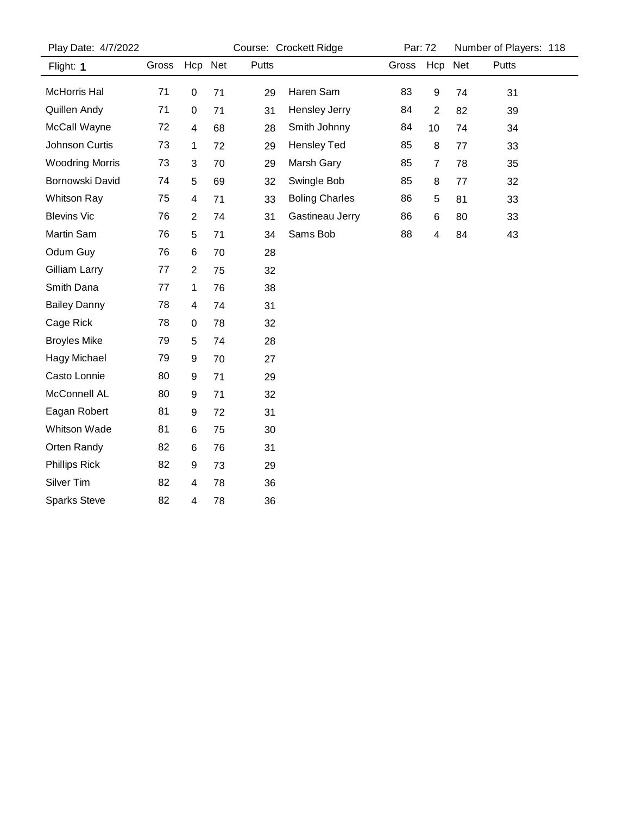| Play Date: 4/7/2022    |       | Course: Crockett Ridge |    |       |                       | Par: 72 |                         | Number of Players: 118 |       |  |
|------------------------|-------|------------------------|----|-------|-----------------------|---------|-------------------------|------------------------|-------|--|
| Flight: 1              | Gross | Hcp Net                |    | Putts |                       | Gross   | Hcp                     | Net                    | Putts |  |
| McHorris Hal           | 71    | $\pmb{0}$              | 71 | 29    | Haren Sam             | 83      | $\boldsymbol{9}$        | 74                     | 31    |  |
| Quillen Andy           | 71    | $\pmb{0}$              | 71 | 31    | Hensley Jerry         | 84      | $\sqrt{2}$              | 82                     | 39    |  |
| McCall Wayne           | 72    | $\overline{4}$         | 68 | 28    | Smith Johnny          | 84      | 10                      | 74                     | 34    |  |
| Johnson Curtis         | 73    | 1                      | 72 | 29    | <b>Hensley Ted</b>    | 85      | 8                       | 77                     | 33    |  |
| <b>Woodring Morris</b> | 73    | $\sqrt{3}$             | 70 | 29    | Marsh Gary            | 85      | $\overline{7}$          | 78                     | 35    |  |
| Bornowski David        | 74    | $\sqrt{5}$             | 69 | 32    | Swingle Bob           | 85      | 8                       | 77                     | 32    |  |
| Whitson Ray            | 75    | 4                      | 71 | 33    | <b>Boling Charles</b> | 86      | $\sqrt{5}$              | 81                     | 33    |  |
| <b>Blevins Vic</b>     | 76    | $\overline{2}$         | 74 | 31    | Gastineau Jerry       | 86      | $\,6\,$                 | 80                     | 33    |  |
| Martin Sam             | 76    | $\sqrt{5}$             | 71 | 34    | Sams Bob              | 88      | $\overline{\mathbf{4}}$ | 84                     | 43    |  |
| Odum Guy               | 76    | 6                      | 70 | 28    |                       |         |                         |                        |       |  |
| Gilliam Larry          | 77    | $\overline{2}$         | 75 | 32    |                       |         |                         |                        |       |  |
| Smith Dana             | 77    | $\mathbf{1}$           | 76 | 38    |                       |         |                         |                        |       |  |
| <b>Bailey Danny</b>    | 78    | $\overline{4}$         | 74 | 31    |                       |         |                         |                        |       |  |
| Cage Rick              | 78    | $\pmb{0}$              | 78 | 32    |                       |         |                         |                        |       |  |
| <b>Broyles Mike</b>    | 79    | $\overline{5}$         | 74 | 28    |                       |         |                         |                        |       |  |
| <b>Hagy Michael</b>    | 79    | $\boldsymbol{9}$       | 70 | 27    |                       |         |                         |                        |       |  |
| Casto Lonnie           | 80    | $\boldsymbol{9}$       | 71 | 29    |                       |         |                         |                        |       |  |
| McConnell AL           | 80    | $\boldsymbol{9}$       | 71 | 32    |                       |         |                         |                        |       |  |
| Eagan Robert           | 81    | 9                      | 72 | 31    |                       |         |                         |                        |       |  |
| Whitson Wade           | 81    | $\,6$                  | 75 | 30    |                       |         |                         |                        |       |  |
| Orten Randy            | 82    | $\,6\,$                | 76 | 31    |                       |         |                         |                        |       |  |
| <b>Phillips Rick</b>   | 82    | $\boldsymbol{9}$       | 73 | 29    |                       |         |                         |                        |       |  |
| Silver Tim             | 82    | $\overline{4}$         | 78 | 36    |                       |         |                         |                        |       |  |
| <b>Sparks Steve</b>    | 82    | $\overline{4}$         | 78 | 36    |                       |         |                         |                        |       |  |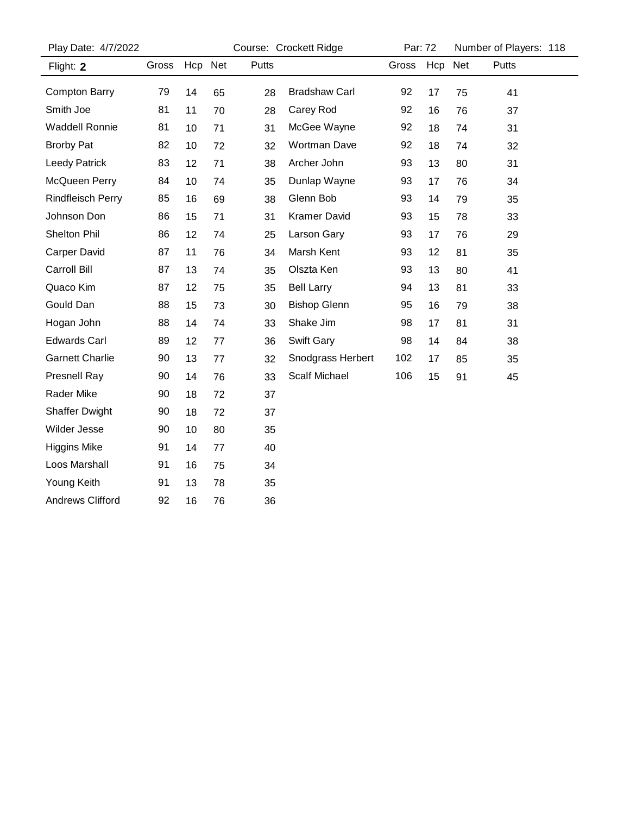| Play Date: 4/7/2022      |       | Course: Crockett Ridge |    |       |                      | Par: 72 |         | Number of Players: 118 |       |  |
|--------------------------|-------|------------------------|----|-------|----------------------|---------|---------|------------------------|-------|--|
| Flight: 2                | Gross | Hcp Net                |    | Putts |                      | Gross   | Hcp Net |                        | Putts |  |
| <b>Compton Barry</b>     | 79    | 14                     | 65 | 28    | <b>Bradshaw Carl</b> | 92      | 17      | 75                     | 41    |  |
| Smith Joe                | 81    | 11                     | 70 | 28    | Carey Rod            | 92      | 16      | 76                     | 37    |  |
| <b>Waddell Ronnie</b>    | 81    | 10                     | 71 | 31    | McGee Wayne          | 92      | 18      | 74                     | 31    |  |
| <b>Brorby Pat</b>        | 82    | 10                     | 72 | 32    | <b>Wortman Dave</b>  | 92      | 18      | 74                     | 32    |  |
| Leedy Patrick            | 83    | 12                     | 71 | 38    | Archer John          | 93      | 13      | 80                     | 31    |  |
| McQueen Perry            | 84    | 10                     | 74 | 35    | Dunlap Wayne         | 93      | 17      | 76                     | 34    |  |
| <b>Rindfleisch Perry</b> | 85    | 16                     | 69 | 38    | Glenn Bob            | 93      | 14      | 79                     | 35    |  |
| Johnson Don              | 86    | 15                     | 71 | 31    | <b>Kramer David</b>  | 93      | 15      | 78                     | 33    |  |
| <b>Shelton Phil</b>      | 86    | 12                     | 74 | 25    | Larson Gary          | 93      | 17      | 76                     | 29    |  |
| <b>Carper David</b>      | 87    | 11                     | 76 | 34    | Marsh Kent           | 93      | 12      | 81                     | 35    |  |
| Carroll Bill             | 87    | 13                     | 74 | 35    | Olszta Ken           | 93      | 13      | 80                     | 41    |  |
| Quaco Kim                | 87    | 12                     | 75 | 35    | <b>Bell Larry</b>    | 94      | 13      | 81                     | 33    |  |
| Gould Dan                | 88    | 15                     | 73 | 30    | <b>Bishop Glenn</b>  | 95      | 16      | 79                     | 38    |  |
| Hogan John               | 88    | 14                     | 74 | 33    | Shake Jim            | 98      | 17      | 81                     | 31    |  |
| <b>Edwards Carl</b>      | 89    | 12                     | 77 | 36    | Swift Gary           | 98      | 14      | 84                     | 38    |  |
| <b>Garnett Charlie</b>   | 90    | 13                     | 77 | 32    | Snodgrass Herbert    | 102     | 17      | 85                     | 35    |  |
| <b>Presnell Ray</b>      | 90    | 14                     | 76 | 33    | <b>Scalf Michael</b> | 106     | 15      | 91                     | 45    |  |
| <b>Rader Mike</b>        | 90    | 18                     | 72 | 37    |                      |         |         |                        |       |  |
| <b>Shaffer Dwight</b>    | 90    | 18                     | 72 | 37    |                      |         |         |                        |       |  |
| Wilder Jesse             | 90    | 10                     | 80 | 35    |                      |         |         |                        |       |  |
| <b>Higgins Mike</b>      | 91    | 14                     | 77 | 40    |                      |         |         |                        |       |  |
| Loos Marshall            | 91    | 16                     | 75 | 34    |                      |         |         |                        |       |  |
| Young Keith              | 91    | 13                     | 78 | 35    |                      |         |         |                        |       |  |
| <b>Andrews Clifford</b>  | 92    | 16                     | 76 | 36    |                      |         |         |                        |       |  |